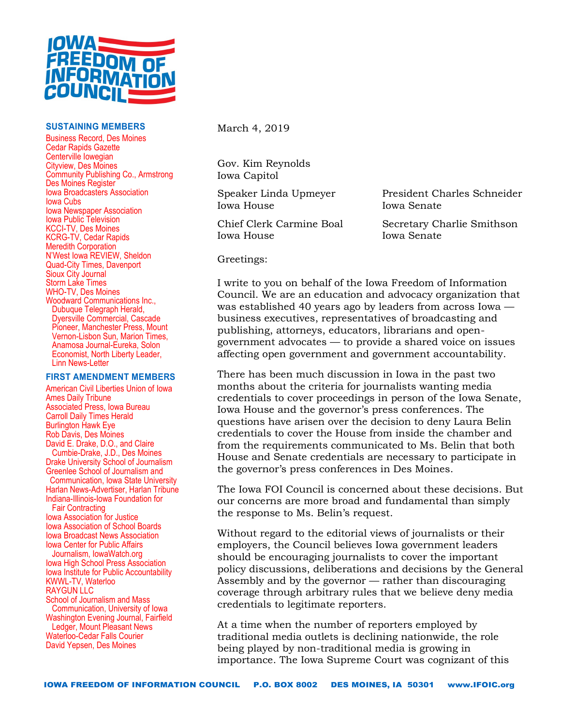

## **SUSTAINING MEMBERS**

Business Record, Des Moines Cedar Rapids Gazette Centerville Iowegian Cityview, Des Moines Community Publishing Co., Armstrong Des Moines Register Iowa Broadcasters Association Iowa Cubs Iowa Newspaper Association Iowa Public Television KCCI-TV, Des Moines KCRG-TV, Cedar Rapids Meredith Corporation N'West Iowa REVIEW, Sheldon Quad-City Times, Davenport Sioux City Journal Storm Lake Times WHO-TV, Des Moines Woodward Communications Inc., Dubuque Telegraph Herald, Dyersville Commercial, Cascade Pioneer, Manchester Press, Mount Vernon-Lisbon Sun, Marion Times, Anamosa Journal-Eureka, Solon Economist, North Liberty Leader, Linn News-Letter

## **FIRST AMENDMENT MEMBERS**

American Civil Liberties Union of Iowa Ames Daily Tribune Associated Press, Iowa Bureau Carroll Daily Times Herald Burlington Hawk Eye Rob Davis, Des Moines David E. Drake, D.O., and Claire Cumbie-Drake, J.D., Des Moines Drake University School of Journalism Greenlee School of Journalism and Communication, Iowa State University Harlan News-Advertiser, Harlan Tribune Indiana-Illinois-Iowa Foundation for Fair Contracting Iowa Association for Justice Iowa Association of School Boards Iowa Broadcast News Association Iowa Center for Public Affairs Journalism, IowaWatch.org Iowa High School Press Association Iowa Institute for Public Accountability KWWL-TV, Waterloo RAYGUN LLC School of Journalism and Mass Communication, University of Iowa Washington Evening Journal, Fairfield Ledger, Mount Pleasant News Waterloo-Cedar Falls Courier David Yepsen, Des Moines

March 4, 2019

Gov. Kim Reynolds Iowa Capitol

Iowa House Iowa Senate

Iowa House Iowa Senate

Speaker Linda Upmeyer President Charles Schneider

Chief Clerk Carmine Boal Secretary Charlie Smithson

Greetings:

I write to you on behalf of the Iowa Freedom of Information Council. We are an education and advocacy organization that was established 40 years ago by leaders from across Iowa business executives, representatives of broadcasting and publishing, attorneys, educators, librarians and opengovernment advocates — to provide a shared voice on issues affecting open government and government accountability.

There has been much discussion in Iowa in the past two months about the criteria for journalists wanting media credentials to cover proceedings in person of the Iowa Senate, Iowa House and the governor's press conferences. The questions have arisen over the decision to deny Laura Belin credentials to cover the House from inside the chamber and from the requirements communicated to Ms. Belin that both House and Senate credentials are necessary to participate in the governor's press conferences in Des Moines.

The Iowa FOI Council is concerned about these decisions. But our concerns are more broad and fundamental than simply the response to Ms. Belin's request.

Without regard to the editorial views of journalists or their employers, the Council believes Iowa government leaders should be encouraging journalists to cover the important policy discussions, deliberations and decisions by the General Assembly and by the governor — rather than discouraging coverage through arbitrary rules that we believe deny media credentials to legitimate reporters.

At a time when the number of reporters employed by traditional media outlets is declining nationwide, the role being played by non-traditional media is growing in importance. The Iowa Supreme Court was cognizant of this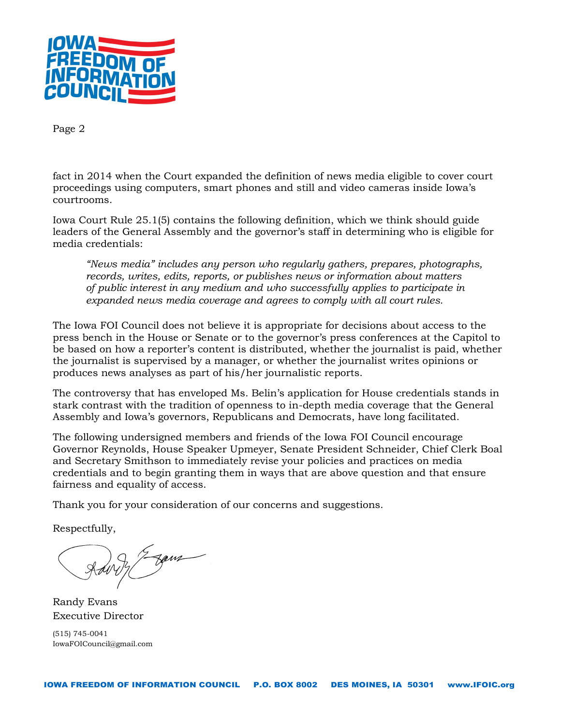

fact in 2014 when the Court expanded the definition of news media eligible to cover court proceedings using computers, smart phones and still and video cameras inside Iowa's courtrooms.

Iowa Court Rule 25.1(5) contains the following definition, which we think should guide leaders of the General Assembly and the governor's staff in determining who is eligible for media credentials:

*"News media" includes any person who regularly gathers, prepares, photographs, records, writes, edits, reports, or publishes news or information about matters of public interest in any medium and who successfully applies to participate in expanded news media coverage and agrees to comply with all court rules.*

The Iowa FOI Council does not believe it is appropriate for decisions about access to the press bench in the House or Senate or to the governor's press conferences at the Capitol to be based on how a reporter's content is distributed, whether the journalist is paid, whether the journalist is supervised by a manager, or whether the journalist writes opinions or produces news analyses as part of his/her journalistic reports.

The controversy that has enveloped Ms. Belin's application for House credentials stands in stark contrast with the tradition of openness to in-depth media coverage that the General Assembly and Iowa's governors, Republicans and Democrats, have long facilitated.

The following undersigned members and friends of the Iowa FOI Council encourage Governor Reynolds, House Speaker Upmeyer, Senate President Schneider, Chief Clerk Boal and Secretary Smithson to immediately revise your policies and practices on media credentials and to begin granting them in ways that are above question and that ensure fairness and equality of access.

Thank you for your consideration of our concerns and suggestions.

Respectfully,

Rain J. Egens

Randy Evans Executive Director

(515) 745-0041 IowaFOICouncil@gmail.com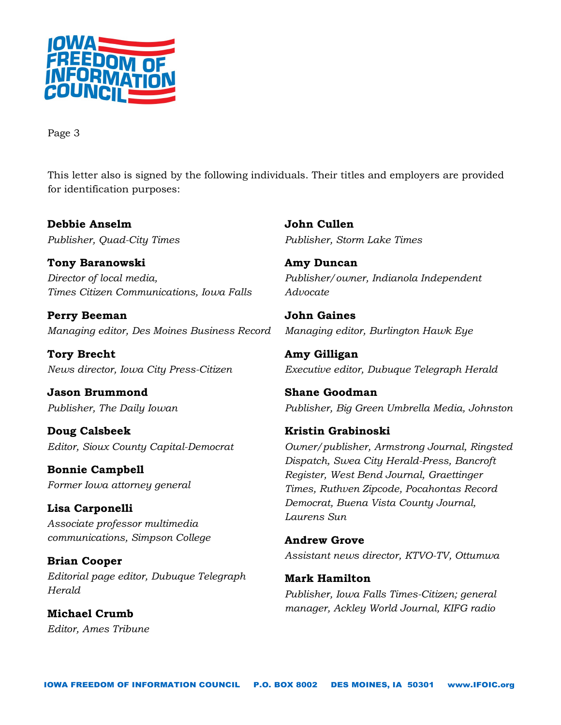

This letter also is signed by the following individuals. Their titles and employers are provided for identification purposes:

**Debbie Anselm** *Publisher, Quad-City Times*

**Tony Baranowski** *Director of local media, Times Citizen Communications, Iowa Falls*

**Perry Beeman** *Managing editor, Des Moines Business Record*

**Tory Brecht** *News director, Iowa City Press-Citizen*

**Jason Brummond** *Publisher, The Daily Iowan*

**Doug Calsbeek** *Editor, Sioux County Capital-Democrat*

**Bonnie Campbell** *Former Iowa attorney general*

**Lisa Carponelli** *Associate professor multimedia communications, Simpson College*

**Brian Cooper** *Editorial page editor, Dubuque Telegraph Herald*

**Michael Crumb** *Editor, Ames Tribune* **John Cullen** *Publisher, Storm Lake Times*

**Amy Duncan** *Publisher/owner, Indianola Independent Advocate*

**John Gaines** *Managing editor, Burlington Hawk Eye*

**Amy Gilligan** *Executive editor, Dubuque Telegraph Herald*

**Shane Goodman** *Publisher, Big Green Umbrella Media, Johnston*

**Kristin Grabinoski** *Owner/publisher, Armstrong Journal, Ringsted Dispatch, Swea City Herald-Press, Bancroft Register, West Bend Journal, Graettinger Times, Ruthven Zipcode, Pocahontas Record Democrat, Buena Vista County Journal, Laurens Sun*

**Andrew Grove** *Assistant news director, KTVO-TV, Ottumwa*

**Mark Hamilton** *Publisher, Iowa Falls Times-Citizen; general manager, Ackley World Journal, KIFG radio*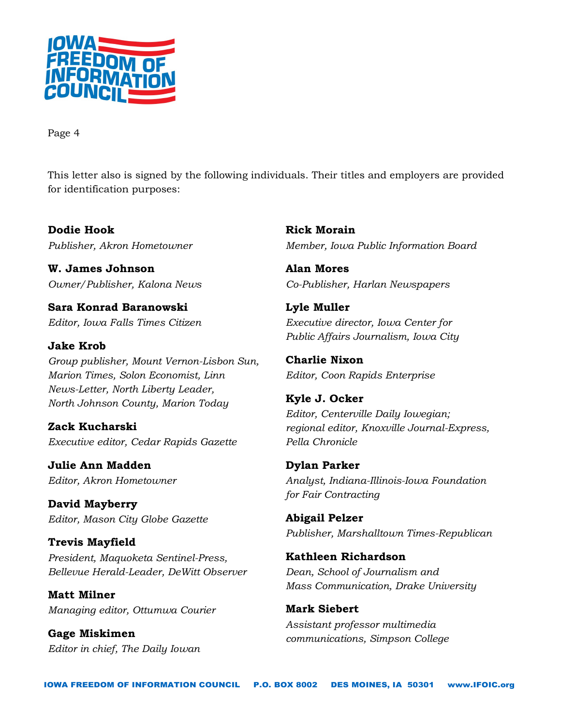

This letter also is signed by the following individuals. Their titles and employers are provided for identification purposes:

**Dodie Hook** *Publisher, Akron Hometowner*

**W. James Johnson** *Owner/Publisher, Kalona News*

**Sara Konrad Baranowski** *Editor, Iowa Falls Times Citizen*

**Jake Krob** *Group publisher, Mount Vernon-Lisbon Sun, Marion Times, Solon Economist, Linn News-Letter, North Liberty Leader, North Johnson County, Marion Today*

**Zack Kucharski** *Executive editor, Cedar Rapids Gazette*

**Julie Ann Madden** *Editor, Akron Hometowner*

**David Mayberry** *Editor, Mason City Globe Gazette*

**Trevis Mayfield** *President, Maquoketa Sentinel-Press, Bellevue Herald-Leader, DeWitt Observer*

**Matt Milner** *Managing editor, Ottumwa Courier*

**Gage Miskimen** *Editor in chief, The Daily Iowan* **Rick Morain** *Member, Iowa Public Information Board*

**Alan Mores** *Co-Publisher, Harlan Newspapers*

**Lyle Muller** *Executive director, Iowa Center for Public Affairs Journalism, Iowa City*

**Charlie Nixon** *Editor, Coon Rapids Enterprise*

**Kyle J. Ocker** *Editor, Centerville Daily Iowegian; regional editor, Knoxville Journal-Express, Pella Chronicle*

**Dylan Parker** *Analyst, Indiana-Illinois-Iowa Foundation for Fair Contracting*

**Abigail Pelzer** *Publisher, Marshalltown Times-Republican*

**Kathleen Richardson** *Dean, School of Journalism and Mass Communication, Drake University*

**Mark Siebert** *Assistant professor multimedia communications, Simpson College*